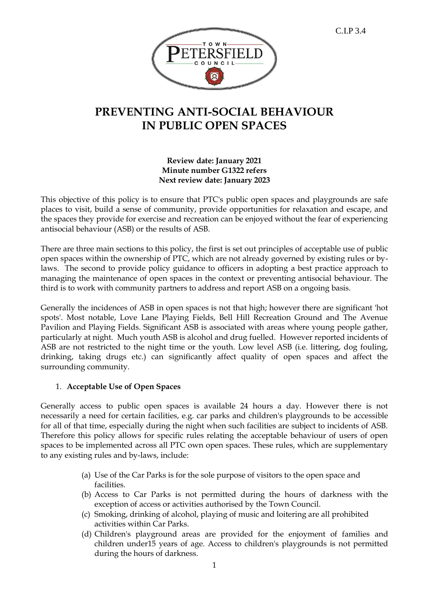

# **PREVENTING ANTI-SOCIAL BEHAVIOUR IN PUBLIC OPEN SPACES**

#### **Review date: January 2021 Minute number G1322 refers Next review date: January 2023**

This objective of this policy is to ensure that PTC's public open spaces and playgrounds are safe places to visit, build a sense of community, provide opportunities for relaxation and escape, and the spaces they provide for exercise and recreation can be enjoyed without the fear of experiencing antisocial behaviour (ASB) or the results of ASB.

There are three main sections to this policy, the first is set out principles of acceptable use of public open spaces within the ownership of PTC, which are not already governed by existing rules or bylaws. The second to provide policy guidance to officers in adopting a best practice approach to managing the maintenance of open spaces in the context or preventing antisocial behaviour. The third is to work with community partners to address and report ASB on a ongoing basis.

Generally the incidences of ASB in open spaces is not that high; however there are significant 'hot spots'. Most notable, Love Lane Playing Fields, Bell Hill Recreation Ground and The Avenue Pavilion and Playing Fields. Significant ASB is associated with areas where young people gather, particularly at night. Much youth ASB is alcohol and drug fuelled. However reported incidents of ASB are not restricted to the night time or the youth. Low level ASB (i.e. littering, dog fouling, drinking, taking drugs etc.) can significantly affect quality of open spaces and affect the surrounding community.

## 1. **Acceptable Use of Open Spaces**

Generally access to public open spaces is available 24 hours a day. However there is not necessarily a need for certain facilities, e.g. car parks and children's playgrounds to be accessible for all of that time, especially during the night when such facilities are subject to incidents of ASB. Therefore this policy allows for specific rules relating the acceptable behaviour of users of open spaces to be implemented across all PTC own open spaces. These rules, which are supplementary to any existing rules and by-laws, include:

- (a) Use of the Car Parks is for the sole purpose of visitors to the open space and facilities.
- (b) Access to Car Parks is not permitted during the hours of darkness with the exception of access or activities authorised by the Town Council.
- (c) Smoking, drinking of alcohol, playing of music and loitering are all prohibited activities within Car Parks.
- (d) Children's playground areas are provided for the enjoyment of families and children under15 years of age. Access to children's playgrounds is not permitted during the hours of darkness.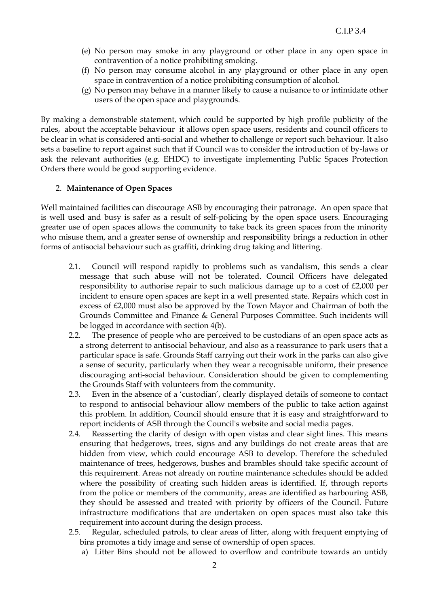- (e) No person may smoke in any playground or other place in any open space in contravention of a notice prohibiting smoking.
- (f) No person may consume alcohol in any playground or other place in any open space in contravention of a notice prohibiting consumption of alcohol.
- (g) No person may behave in a manner likely to cause a nuisance to or intimidate other users of the open space and playgrounds.

By making a demonstrable statement, which could be supported by high profile publicity of the rules, about the acceptable behaviour it allows open space users, residents and council officers to be clear in what is considered anti-social and whether to challenge or report such behaviour. It also sets a baseline to report against such that if Council was to consider the introduction of by-laws or ask the relevant authorities (e.g. EHDC) to investigate implementing Public Spaces Protection Orders there would be good supporting evidence.

#### 2. **Maintenance of Open Spaces**

Well maintained facilities can discourage ASB by encouraging their patronage. An open space that is well used and busy is safer as a result of self-policing by the open space users. Encouraging greater use of open spaces allows the community to take back its green spaces from the minority who misuse them, and a greater sense of ownership and responsibility brings a reduction in other forms of antisocial behaviour such as graffiti, drinking drug taking and littering.

- 2.1. Council will respond rapidly to problems such as vandalism, this sends a clear message that such abuse will not be tolerated. Council Officers have delegated responsibility to authorise repair to such malicious damage up to a cost of £2,000 per incident to ensure open spaces are kept in a well presented state. Repairs which cost in excess of £2,000 must also be approved by the Town Mayor and Chairman of both the Grounds Committee and Finance & General Purposes Committee. Such incidents will be logged in accordance with section 4(b).
- 2.2. The presence of people who are perceived to be custodians of an open space acts as a strong deterrent to antisocial behaviour, and also as a reassurance to park users that a particular space is safe. Grounds Staff carrying out their work in the parks can also give a sense of security, particularly when they wear a recognisable uniform, their presence discouraging anti-social behaviour. Consideration should be given to complementing the Grounds Staff with volunteers from the community.
- 2.3. Even in the absence of a 'custodian', clearly displayed details of someone to contact to respond to antisocial behaviour allow members of the public to take action against this problem. In addition, Council should ensure that it is easy and straightforward to report incidents of ASB through the Council's website and social media pages.
- 2.4. Reasserting the clarity of design with open vistas and clear sight lines. This means ensuring that hedgerows, trees, signs and any buildings do not create areas that are hidden from view, which could encourage ASB to develop. Therefore the scheduled maintenance of trees, hedgerows, bushes and brambles should take specific account of this requirement. Areas not already on routine maintenance schedules should be added where the possibility of creating such hidden areas is identified. If, through reports from the police or members of the community, areas are identified as harbouring ASB, they should be assessed and treated with priority by officers of the Council. Future infrastructure modifications that are undertaken on open spaces must also take this requirement into account during the design process.
- 2.5. Regular, scheduled patrols, to clear areas of litter, along with frequent emptying of bins promotes a tidy image and sense of ownership of open spaces.
	- a) Litter Bins should not be allowed to overflow and contribute towards an untidy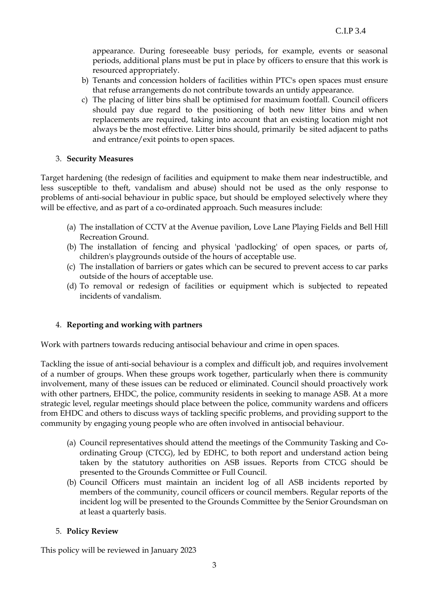appearance. During foreseeable busy periods, for example, events or seasonal periods, additional plans must be put in place by officers to ensure that this work is resourced appropriately.

- b) Tenants and concession holders of facilities within PTC's open spaces must ensure that refuse arrangements do not contribute towards an untidy appearance.
- c) The placing of litter bins shall be optimised for maximum footfall. Council officers should pay due regard to the positioning of both new litter bins and when replacements are required, taking into account that an existing location might not always be the most effective. Litter bins should, primarily be sited adjacent to paths and entrance/exit points to open spaces.

#### 3. **Security Measures**

Target hardening (the redesign of facilities and equipment to make them near indestructible, and less susceptible to theft, vandalism and abuse) should not be used as the only response to problems of anti-social behaviour in public space, but should be employed selectively where they will be effective, and as part of a co-ordinated approach. Such measures include:

- (a) The installation of CCTV at the Avenue pavilion, Love Lane Playing Fields and Bell Hill Recreation Ground.
- (b) The installation of fencing and physical 'padlocking' of open spaces, or parts of, children's playgrounds outside of the hours of acceptable use.
- (c) The installation of barriers or gates which can be secured to prevent access to car parks outside of the hours of acceptable use.
- (d) To removal or redesign of facilities or equipment which is subjected to repeated incidents of vandalism.

## 4. **Reporting and working with partners**

Work with partners towards reducing antisocial behaviour and crime in open spaces.

Tackling the issue of anti-social behaviour is a complex and difficult job, and requires involvement of a number of groups. When these groups work together, particularly when there is community involvement, many of these issues can be reduced or eliminated. Council should proactively work with other partners, EHDC, the police, community residents in seeking to manage ASB. At a more strategic level, regular meetings should place between the police, community wardens and officers from EHDC and others to discuss ways of tackling specific problems, and providing support to the community by engaging young people who are often involved in antisocial behaviour.

- (a) Council representatives should attend the meetings of the Community Tasking and Coordinating Group (CTCG), led by EDHC, to both report and understand action being taken by the statutory authorities on ASB issues. Reports from CTCG should be presented to the Grounds Committee or Full Council.
- (b) Council Officers must maintain an incident log of all ASB incidents reported by members of the community, council officers or council members. Regular reports of the incident log will be presented to the Grounds Committee by the Senior Groundsman on at least a quarterly basis.

## 5. **Policy Review**

This policy will be reviewed in January 2023